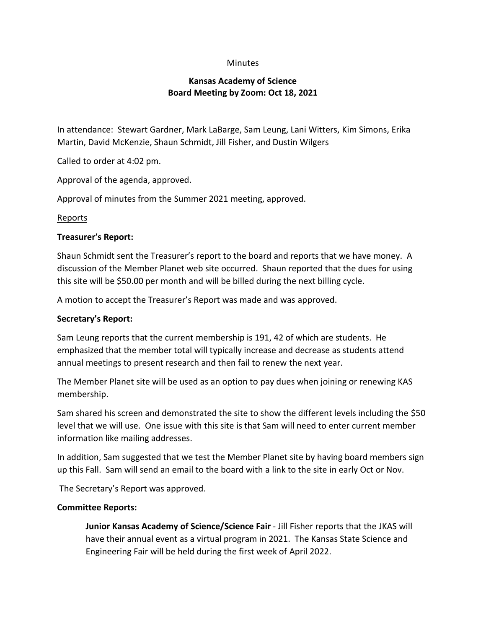# **Minutes**

# **Kansas Academy of Science Board Meeting by Zoom: Oct 18, 2021**

In attendance: Stewart Gardner, Mark LaBarge, Sam Leung, Lani Witters, Kim Simons, Erika Martin, David McKenzie, Shaun Schmidt, Jill Fisher, and Dustin Wilgers

Called to order at 4:02 pm.

Approval of the agenda, approved.

Approval of minutes from the Summer 2021 meeting, approved.

# **Reports**

#### **Treasurer's Report:**

Shaun Schmidt sent the Treasurer's report to the board and reports that we have money. A discussion of the Member Planet web site occurred. Shaun reported that the dues for using this site will be \$50.00 per month and will be billed during the next billing cycle.

A motion to accept the Treasurer's Report was made and was approved.

#### **Secretary's Report:**

Sam Leung reports that the current membership is 191, 42 of which are students. He emphasized that the member total will typically increase and decrease as students attend annual meetings to present research and then fail to renew the next year.

The Member Planet site will be used as an option to pay dues when joining or renewing KAS membership.

Sam shared his screen and demonstrated the site to show the different levels including the \$50 level that we will use. One issue with this site is that Sam will need to enter current member information like mailing addresses.

In addition, Sam suggested that we test the Member Planet site by having board members sign up this Fall. Sam will send an email to the board with a link to the site in early Oct or Nov.

The Secretary's Report was approved.

# **Committee Reports:**

**Junior Kansas Academy of Science/Science Fair** - Jill Fisher reports that the JKAS will have their annual event as a virtual program in 2021. The Kansas State Science and Engineering Fair will be held during the first week of April 2022.